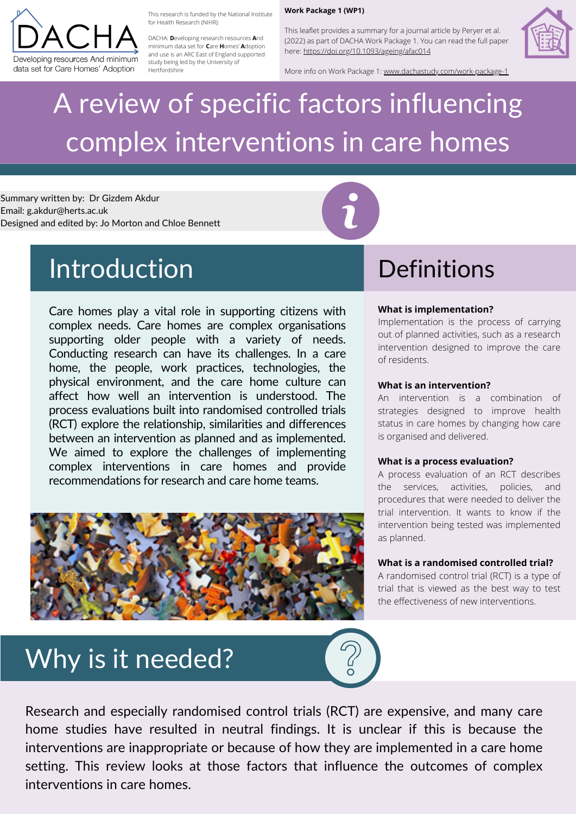## Why is it needed?



# A review of specific factors influencing complex interventions in care homes



This research is funded by the National Institute for Health Research (NIHR):

This leaflet provides a summary for a journal article by Peryer et al. (2022) as part of DACHA Work Package 1. You can read the full paper here:<https://doi.org/10.1093/ageing/afac014>



DACHA: **D**eveloping research resources **A**nd minimum data set for **C**are **H**omes' **A**doption and use is an ARC East of England supported study being led by the University of Hertfordshire

#### **Work Package 1 (WP1)**

More info on Work Package 1: [www.dachastudy.com/work-package-1](http://www.dachastudy.com/work-package-1)

Summary written by: Dr Gizdem Akdur Email: g.akdur@herts.ac.uk Designed and edited by: Jo Morton and Chloe Bennett

### Introduction Definitions

Care homes play a vital role in supporting citizens with complex needs. Care homes are complex organisations supporting older people with a variety of needs. Conducting research can have its challenges. In a care home, the people, work practices, technologies, the physical environment, and the care home culture can affect how well an intervention is understood. The process evaluations built into randomised controlled trials (RCT) explore the relationship, similarities and differences between an intervention as planned and as implemented. We aimed to explore the challenges of implementing complex interventions in care homes and provide recommendations for research and care home teams.

### **What is implementation?**

Implementation is the process of carrying out of planned activities, such as a research intervention designed to improve the care of residents.

#### **What is an intervention?**

An intervention is a combination of strategies designed to improve health status in care homes by changing how care is organised and delivered.



#### **What is a process evaluation?**

A process evaluation of an RCT describes the services, activities, policies, and procedures that were needed to deliver the trial intervention. It wants to know if the intervention being tested was implemented as planned.

### **What is a randomised controlled trial?**

A randomised control trial (RCT) is a type of trial that is viewed as the best way to test the effectiveness of new interventions.

Research and especially randomised control trials (RCT) are expensive, and many care home studies have resulted in neutral findings. It is unclear if this is because the interventions are inappropriate or because of how they are implemented in a care home setting. This review looks at those factors that influence the outcomes of complex interventions in care homes.